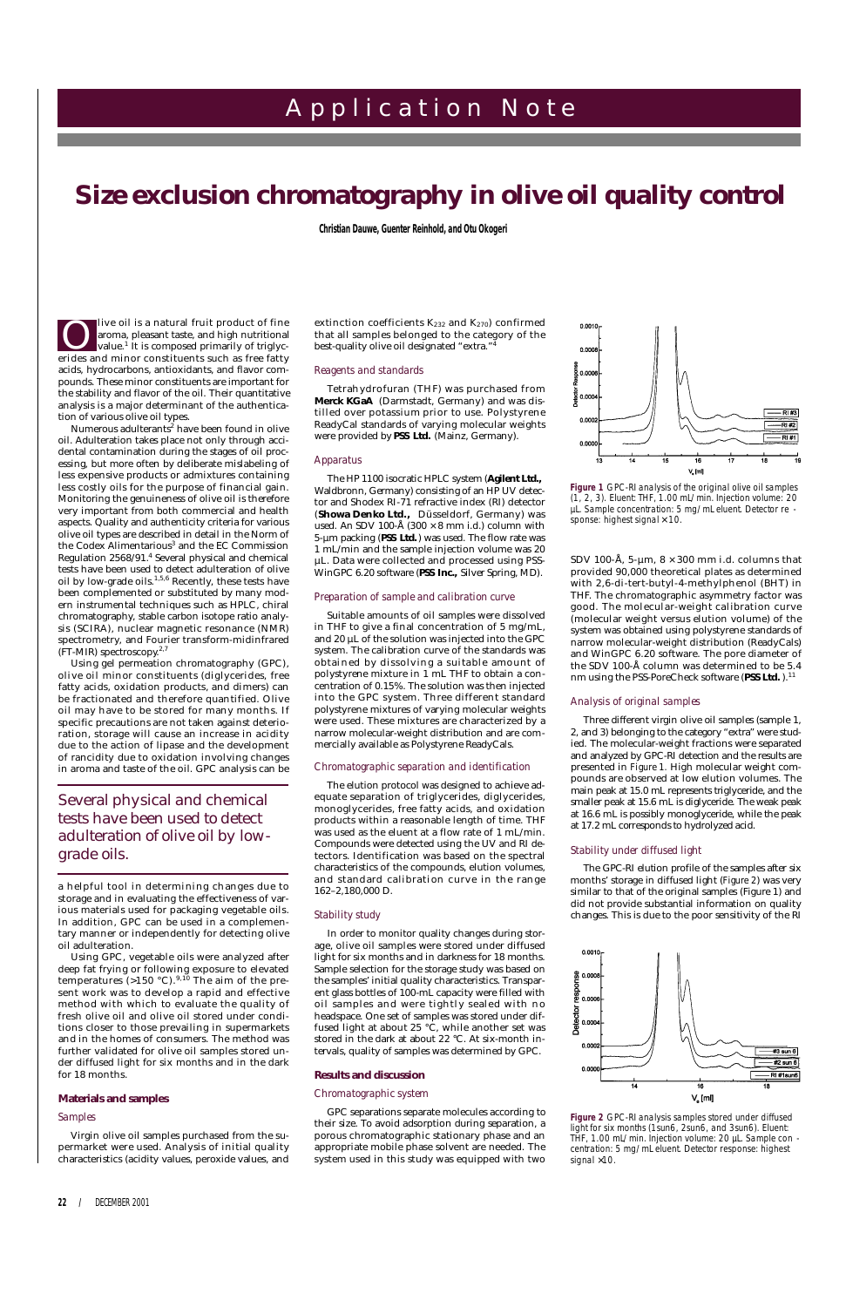live oil is a natural fruit product of fine aroma, pleasant taste, and high nutritional value.<sup>1</sup> It is composed primarily of triglyclive oil is a natural fruit product of fine<br>aroma, pleasant taste, and high nutritional<br>value.<sup>1</sup> It is composed primarily of triglyc-<br>erides and minor constituents such as free fatty acids, hydrocarbons, antioxidants, and flavor compounds. These minor constituents are important for the stability and flavor of the oil. Their quantitative analysis is a major determinant of the authentication of various olive oil types.

Numerous adulterants<sup>2</sup> have been found in olive oil. Adulteration takes place not only through accidental contamination during the stages of oil processing, but more often by deliberate mislabeling of less expensive products or admixtures containing less costly oils for the purpose of financial gain. Monitoring the genuineness of olive oil is therefore very important from both commercial and health aspects. Quality and authenticity criteria for various olive oil types are described in detail in the Norm of the Codex Alimentarious<sup>3</sup> and the EC Commission Regulation 2568/91.<sup>4</sup> Several physical and chemical tests have been used to detect adulteration of olive oil by low-grade oils. $1,5,6$  Recently, these tests have been complemented or substituted by many modern instrumental techniques such as HPLC, chiral chromatography, stable carbon isotope ratio analysis (SCIRA), nuclear magnetic resonance (NMR) spectrometry, and Fourier transform-midinfrared (FT-MIR) spectroscopy. 2,7

Using gel permeation chromatography (GPC), olive oil minor constituents (diglycerides, free fatty acids, oxidation products, and dimers) can be fractionated and therefore quantified. Olive oil may have to be stored for many months. If specific precautions are not taken against deterioration, storage will cause an increase in acidity due to the action of lipase and the development of rancidity due to oxidation involving changes in aroma and taste of the oil. GPC analysis can be

The HP 1100 isocratic HPLC system (**Agilent Ltd.,** Waldbronn, Germany) consisting of an HP UV detector and Shodex RI-71 refractive index (RI) detector (**Showa Denko Ltd.,** Düsseldorf, Germany) was used. An SDV 100-Å  $(300 \times 8 \text{ mm i.d.})$  column with 5-µm packing (PSS Ltd.) was used. The flow rate was 1 mL/min and the sample injection volume was 20 µL. Data were collected and processed using PSS-WinGPC 6.20 software (PSS Inc., Silver Spring, MD).

a helpful tool in determining changes due to storage and in evaluating the effectiveness of various materials used for packaging vegetable oils. In addition, GPC can be used in a complementary manner or independently for detecting olive oil adulteration.

Using GPC, vegetable oils were analyzed after

extinction coefficients  $K_{232}$  and  $K_{270}$ ) confirmed that all samples belonged to the category of the best-quality olive oil designated "extra."

deep fat frying or following exposure to elevated temperatures (>150 °C). $^{9,10}$  The aim of the present work was to develop a rapid and effective method with which to evaluate the quality of fresh olive oil and olive oil stored under conditions closer to those prevailing in supermarkets and in the homes of consumers. The method was further validated for olive oil samples stored under diffused light for six months and in the dark for 18 months.

# **Materials and samples**

#### *Samples*

Virgin olive oil samples purchased from the supermarket were used. Analysis of initial quality characteristics (acidity values, peroxide values, and

# **22 /** DECEMBER 2001

# A p p l i c a t i o n N o t e

# *Size exclusion chromatography in olive oil quality control*

**Christian Dauwe, Guenter Reinhold, and Otu Okogeri**

## *Reagents and standards*

Tetrahydrofuran (THF) was purchased from **Merck KGaA** (Darmstadt, Germany) and was distilled over potassium prior to use. Polystyrene ReadyCal standards of varying molecular weights were provided by **PSS Ltd.** (Mainz, Germany).

#### *Apparatus*

# *Preparation of sample and calibration curve*

Suitable amounts of oil samples were dissolved in THF to give a final concentration of 5 mg/mL, and 20 µL of the solution was injected into the GPC system. The calibration curve of the standards was obtained by dissolving a suitable amount of polystyrene mixture in 1 mL THF to obtain a concentration of 0.15%. The solution was then injected into the GPC system. Three different standard polystyrene mixtures of varying molecular weights were used. These mixtures are characterized by a narrow molecular-weight distribution and are commercially available as Polystyrene ReadyCals.

#### *Chromatographic separation and identification*

The elution protocol was designed to achieve adequate separation of triglycerides, diglycerides, monoglycerides, free fatty acids, and oxidation products within a reasonable length of time. THF was used as the eluent at a flow rate of 1 mL/min. Compounds were detected using the UV and RI detectors. Identification was based on the spectral characteristics of the compounds, elution volumes, and standard calibration curve in the range 162–2,180,000 D.

#### *Stability study*

In order to monitor quality changes during storage, olive oil samples were stored under diffused light for six months and in darkness for 18 months. Sample selection for the storage study was based on the samples' initial quality characteristics. Transparent glass bottles of 100-mL capacity were filled with oil samples and were tightly sealed with no headspace. One set of samples was stored under diffused light at about 25 °C, while another set was stored in the dark at about 22 °C. At six-month intervals, quality of samples was determined by GPC.

# **Results and discussion**

# *Chromatographic system*

GPC separations separate molecules according to their size. To avoid adsorption during separation, a porous chromatographic stationary phase and an appropriate mobile phase solvent are needed. The system used in this study was equipped with two



## *Analysis of original samples*

Three different virgin olive oil samples (sample 1, 2, and 3) belonging to the category "extra" were studied. The molecular-weight fractions were separated and analyzed by GPC-RI detection and the results are presented in *Figure 1*. High molecular weight compounds are observed at low elution volumes. The main peak at 15.0 mL represents triglyceride, and the smaller peak at 15.6 mL is diglyceride. The weak peak at 16.6 mL is possibly monoglyceride, while the peak at 17.2 mL corresponds to hydrolyzed acid.

## *Stability under diffused light*

The GPC-RI elution profile of the samples after six months' storage in diffused light (*Figure 2*) was very similar to that of the original samples (Figure 1) and did not provide substantial information on quality changes. This is due to the poor sensitivity of the RI

| $0.0010 -$ |     | II |  |
|------------|-----|----|--|
|            | . . |    |  |

# *Several physical and chemical tests have been used to detect adulteration of olive oil by lowgrade oils.*



**Figure 1** *GPC-RI analysis of the original olive oil samples (1, 2, 3). Eluent: THF, 1.00 mL/min. Injection volume: 20 µL. Sample concentration: 5 mg/mL eluent. Detector re sponse: highest signal* × *10.*

SDV 100-Å, 5- $\mu$ m, 8 × 300 mm i.d. columns that provided 90,000 theoretical plates as determined with 2,6-di-tert-butyl-4-methylphenol (BHT) in THF. The chromatographic asymmetry factor was good. The molecular-weight calibration curve (molecular weight versus elution volume) of the system was obtained using polystyrene standards of narrow molecular-weight distribution (ReadyCals) and WinGPC 6.20 software. The pore diameter of the SDV 100-Å column was determined to be 5.4 nm using the PSS-PoreCheck software (PSS Ltd.).<sup>11</sup>

**Figure 2** *GPC-RI analysis samples stored under diffused light for six months (1sun6, 2sun6, and 3sun6). Eluent: THF, 1.00 mL/min. Injection volume: 20 µL. Sample con centration: 5 mg/mL eluent. Detector response: highest signal* ×*10.*